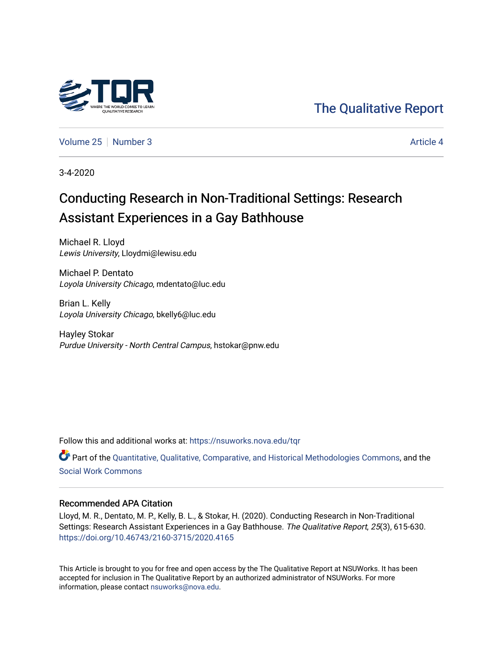

# [The Qualitative Report](https://nsuworks.nova.edu/tqr)

[Volume 25](https://nsuworks.nova.edu/tqr/vol25) [Number 3](https://nsuworks.nova.edu/tqr/vol25/iss3) Article 4

3-4-2020

# Conducting Research in Non-Traditional Settings: Research Assistant Experiences in a Gay Bathhouse

Michael R. Lloyd Lewis University, Lloydmi@lewisu.edu

Michael P. Dentato Loyola University Chicago, mdentato@luc.edu

Brian L. Kelly Loyola University Chicago, bkelly6@luc.edu

Hayley Stokar Purdue University - North Central Campus, hstokar@pnw.edu

Follow this and additional works at: [https://nsuworks.nova.edu/tqr](https://nsuworks.nova.edu/tqr?utm_source=nsuworks.nova.edu%2Ftqr%2Fvol25%2Fiss3%2F4&utm_medium=PDF&utm_campaign=PDFCoverPages) 

Part of the [Quantitative, Qualitative, Comparative, and Historical Methodologies Commons,](http://network.bepress.com/hgg/discipline/423?utm_source=nsuworks.nova.edu%2Ftqr%2Fvol25%2Fiss3%2F4&utm_medium=PDF&utm_campaign=PDFCoverPages) and the [Social Work Commons](http://network.bepress.com/hgg/discipline/713?utm_source=nsuworks.nova.edu%2Ftqr%2Fvol25%2Fiss3%2F4&utm_medium=PDF&utm_campaign=PDFCoverPages)

### Recommended APA Citation

Lloyd, M. R., Dentato, M. P., Kelly, B. L., & Stokar, H. (2020). Conducting Research in Non-Traditional Settings: Research Assistant Experiences in a Gay Bathhouse. The Qualitative Report, 25(3), 615-630. <https://doi.org/10.46743/2160-3715/2020.4165>

This Article is brought to you for free and open access by the The Qualitative Report at NSUWorks. It has been accepted for inclusion in The Qualitative Report by an authorized administrator of NSUWorks. For more information, please contact [nsuworks@nova.edu.](mailto:nsuworks@nova.edu)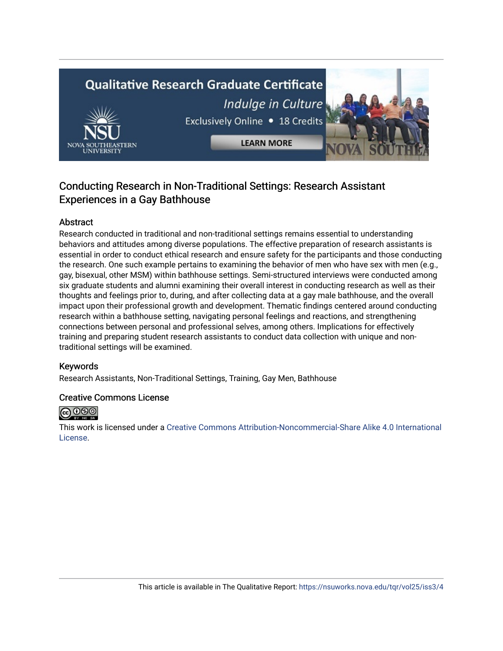# **Qualitative Research Graduate Certificate** Indulge in Culture Exclusively Online . 18 Credits **LEARN MORE**



# Conducting Research in Non-Traditional Settings: Research Assistant Experiences in a Gay Bathhouse

# Abstract

Research conducted in traditional and non-traditional settings remains essential to understanding behaviors and attitudes among diverse populations. The effective preparation of research assistants is essential in order to conduct ethical research and ensure safety for the participants and those conducting the research. One such example pertains to examining the behavior of men who have sex with men (e.g., gay, bisexual, other MSM) within bathhouse settings. Semi-structured interviews were conducted among six graduate students and alumni examining their overall interest in conducting research as well as their thoughts and feelings prior to, during, and after collecting data at a gay male bathhouse, and the overall impact upon their professional growth and development. Thematic findings centered around conducting research within a bathhouse setting, navigating personal feelings and reactions, and strengthening connections between personal and professional selves, among others. Implications for effectively training and preparing student research assistants to conduct data collection with unique and nontraditional settings will be examined.

## Keywords

Research Assistants, Non-Traditional Settings, Training, Gay Men, Bathhouse

### Creative Commons License



This work is licensed under a [Creative Commons Attribution-Noncommercial-Share Alike 4.0 International](https://creativecommons.org/licenses/by-nc-sa/4.0/)  [License](https://creativecommons.org/licenses/by-nc-sa/4.0/).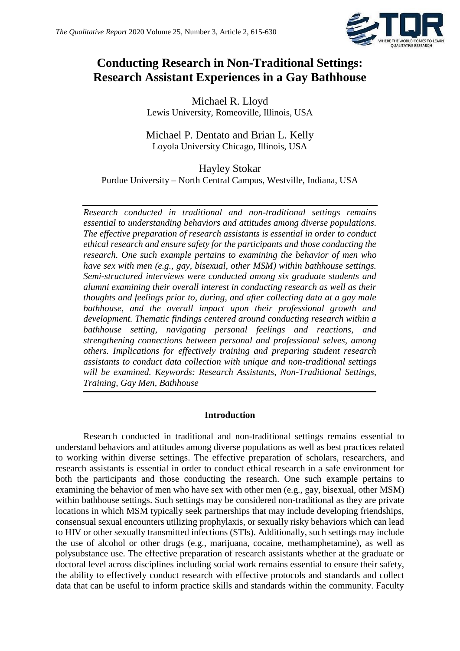

# **Conducting Research in Non-Traditional Settings: Research Assistant Experiences in a Gay Bathhouse**

Michael R. Lloyd Lewis University, Romeoville, Illinois, USA

Michael P. Dentato and Brian L. Kelly Loyola University Chicago, Illinois, USA

Hayley Stokar Purdue University – North Central Campus, Westville, Indiana, USA

*Research conducted in traditional and non-traditional settings remains essential to understanding behaviors and attitudes among diverse populations. The effective preparation of research assistants is essential in order to conduct ethical research and ensure safety for the participants and those conducting the research. One such example pertains to examining the behavior of men who have sex with men (e.g., gay, bisexual, other MSM) within bathhouse settings. Semi-structured interviews were conducted among six graduate students and alumni examining their overall interest in conducting research as well as their thoughts and feelings prior to, during, and after collecting data at a gay male bathhouse, and the overall impact upon their professional growth and development. Thematic findings centered around conducting research within a bathhouse setting, navigating personal feelings and reactions, and strengthening connections between personal and professional selves, among others. Implications for effectively training and preparing student research assistants to conduct data collection with unique and non-traditional settings will be examined. Keywords: Research Assistants, Non-Traditional Settings, Training, Gay Men, Bathhouse*

## **Introduction**

Research conducted in traditional and non-traditional settings remains essential to understand behaviors and attitudes among diverse populations as well as best practices related to working within diverse settings. The effective preparation of scholars, researchers, and research assistants is essential in order to conduct ethical research in a safe environment for both the participants and those conducting the research. One such example pertains to examining the behavior of men who have sex with other men (e.g., gay, bisexual, other MSM) within bathhouse settings. Such settings may be considered non-traditional as they are private locations in which MSM typically seek partnerships that may include developing friendships, consensual sexual encounters utilizing prophylaxis, or sexually risky behaviors which can lead to HIV or other sexually transmitted infections (STIs). Additionally, such settings may include the use of alcohol or other drugs (e.g., marijuana, cocaine, methamphetamine), as well as polysubstance use. The effective preparation of research assistants whether at the graduate or doctoral level across disciplines including social work remains essential to ensure their safety, the ability to effectively conduct research with effective protocols and standards and collect data that can be useful to inform practice skills and standards within the community. Faculty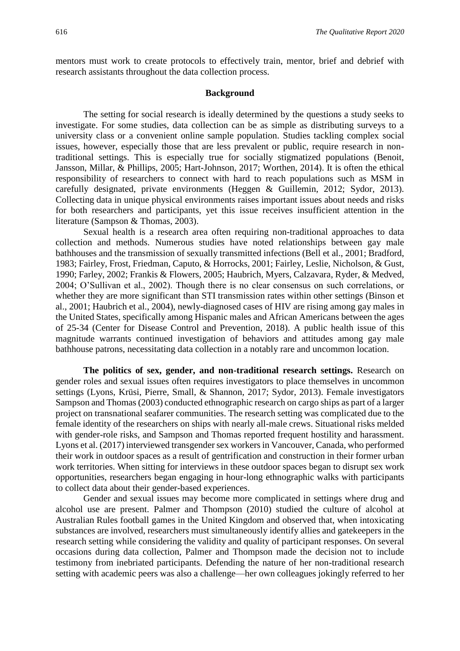mentors must work to create protocols to effectively train, mentor, brief and debrief with research assistants throughout the data collection process.

#### **Background**

The setting for social research is ideally determined by the questions a study seeks to investigate. For some studies, data collection can be as simple as distributing surveys to a university class or a convenient online sample population. Studies tackling complex social issues, however, especially those that are less prevalent or public, require research in nontraditional settings. This is especially true for socially stigmatized populations (Benoit, Jansson, Millar, & Phillips, 2005; Hart-Johnson, 2017; Worthen, 2014). It is often the ethical responsibility of researchers to connect with hard to reach populations such as MSM in carefully designated, private environments (Heggen & Guillemin, 2012; Sydor, 2013). Collecting data in unique physical environments raises important issues about needs and risks for both researchers and participants, yet this issue receives insufficient attention in the literature (Sampson & Thomas, 2003).

Sexual health is a research area often requiring non-traditional approaches to data collection and methods. Numerous studies have noted relationships between gay male bathhouses and the transmission of sexually transmitted infections (Bell et al., 2001; Bradford, 1983; Fairley, Frost, Friedman, Caputo, & Horrocks, 2001; Fairley, Leslie, Nicholson, & Gust, 1990; Farley, 2002; Frankis & Flowers, 2005; Haubrich, Myers, Calzavara, Ryder, & Medved, 2004; O'Sullivan et al., 2002). Though there is no clear consensus on such correlations, or whether they are more significant than STI transmission rates within other settings (Binson et al., 2001; Haubrich et al., 2004), newly-diagnosed cases of HIV are rising among gay males in the United States, specifically among Hispanic males and African Americans between the ages of 25-34 (Center for Disease Control and Prevention, 2018). A public health issue of this magnitude warrants continued investigation of behaviors and attitudes among gay male bathhouse patrons, necessitating data collection in a notably rare and uncommon location.

**The politics of sex, gender, and non-traditional research settings.** Research on gender roles and sexual issues often requires investigators to place themselves in uncommon settings (Lyons, Krüsi, Pierre, Small, & Shannon, 2017; Sydor, 2013). Female investigators Sampson and Thomas (2003) conducted ethnographic research on cargo ships as part of a larger project on transnational seafarer communities. The research setting was complicated due to the female identity of the researchers on ships with nearly all-male crews. Situational risks melded with gender-role risks, and Sampson and Thomas reported frequent hostility and harassment. Lyons et al. (2017) interviewed transgender sex workers in Vancouver, Canada, who performed their work in outdoor spaces as a result of gentrification and construction in their former urban work territories. When sitting for interviews in these outdoor spaces began to disrupt sex work opportunities, researchers began engaging in hour-long ethnographic walks with participants to collect data about their gender-based experiences.

Gender and sexual issues may become more complicated in settings where drug and alcohol use are present. Palmer and Thompson (2010) studied the culture of alcohol at Australian Rules football games in the United Kingdom and observed that, when intoxicating substances are involved, researchers must simultaneously identify allies and gatekeepers in the research setting while considering the validity and quality of participant responses. On several occasions during data collection, Palmer and Thompson made the decision not to include testimony from inebriated participants. Defending the nature of her non-traditional research setting with academic peers was also a challenge—her own colleagues jokingly referred to her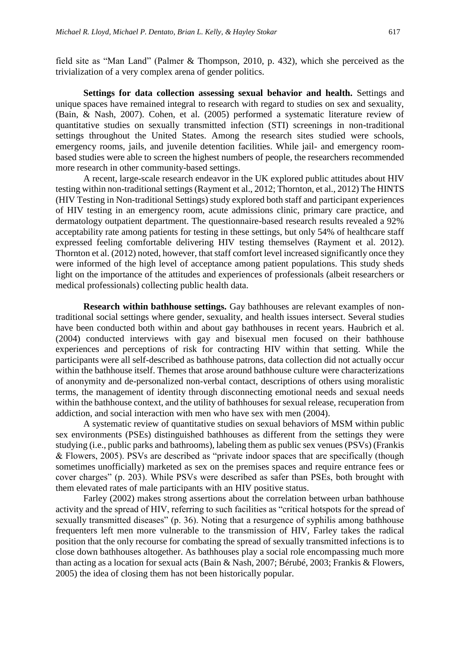field site as "Man Land" (Palmer & Thompson, 2010, p. 432), which she perceived as the trivialization of a very complex arena of gender politics.

**Settings for data collection assessing sexual behavior and health.** Settings and unique spaces have remained integral to research with regard to studies on sex and sexuality, (Bain, & Nash, 2007). Cohen, et al. (2005) performed a systematic literature review of quantitative studies on sexually transmitted infection (STI) screenings in non-traditional settings throughout the United States. Among the research sites studied were schools, emergency rooms, jails, and juvenile detention facilities. While jail- and emergency roombased studies were able to screen the highest numbers of people, the researchers recommended more research in other community-based settings.

A recent, large-scale research endeavor in the UK explored public attitudes about HIV testing within non-traditional settings (Rayment et al., 2012; Thornton, et al., 2012) The HINTS (HIV Testing in Non-traditional Settings) study explored both staff and participant experiences of HIV testing in an emergency room, acute admissions clinic, primary care practice, and dermatology outpatient department. The questionnaire-based research results revealed a 92% acceptability rate among patients for testing in these settings, but only 54% of healthcare staff expressed feeling comfortable delivering HIV testing themselves (Rayment et al. 2012). Thornton et al. (2012) noted, however, that staff comfort level increased significantly once they were informed of the high level of acceptance among patient populations. This study sheds light on the importance of the attitudes and experiences of professionals (albeit researchers or medical professionals) collecting public health data.

**Research within bathhouse settings.** Gay bathhouses are relevant examples of nontraditional social settings where gender, sexuality, and health issues intersect. Several studies have been conducted both within and about gay bathhouses in recent years. Haubrich et al. (2004) conducted interviews with gay and bisexual men focused on their bathhouse experiences and perceptions of risk for contracting HIV within that setting. While the participants were all self-described as bathhouse patrons, data collection did not actually occur within the bathhouse itself. Themes that arose around bathhouse culture were characterizations of anonymity and de-personalized non-verbal contact, descriptions of others using moralistic terms, the management of identity through disconnecting emotional needs and sexual needs within the bathhouse context, and the utility of bathhouses for sexual release, recuperation from addiction, and social interaction with men who have sex with men (2004).

A systematic review of quantitative studies on sexual behaviors of MSM within public sex environments (PSEs) distinguished bathhouses as different from the settings they were studying (i.e., public parks and bathrooms), labeling them as public sex venues (PSVs) (Frankis & Flowers, 2005). PSVs are described as "private indoor spaces that are specifically (though sometimes unofficially) marketed as sex on the premises spaces and require entrance fees or cover charges" (p. 203). While PSVs were described as safer than PSEs, both brought with them elevated rates of male participants with an HIV positive status.

Farley (2002) makes strong assertions about the correlation between urban bathhouse activity and the spread of HIV, referring to such facilities as "critical hotspots for the spread of sexually transmitted diseases" (p. 36). Noting that a resurgence of syphilis among bathhouse frequenters left men more vulnerable to the transmission of HIV, Farley takes the radical position that the only recourse for combating the spread of sexually transmitted infections is to close down bathhouses altogether. As bathhouses play a social role encompassing much more than acting as a location for sexual acts (Bain & Nash, 2007; Bérubé, 2003; Frankis & Flowers, 2005) the idea of closing them has not been historically popular.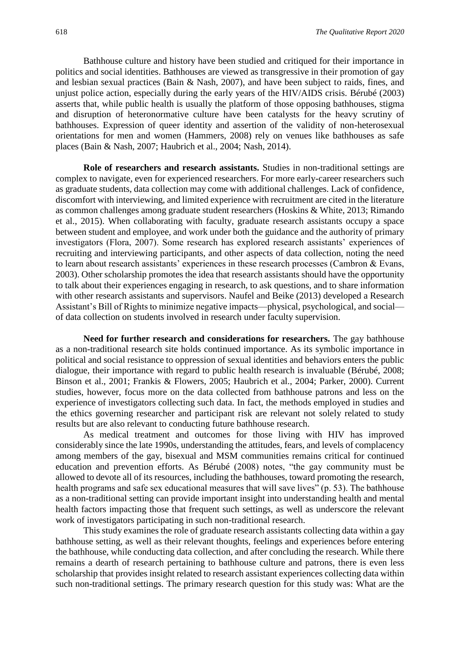Bathhouse culture and history have been studied and critiqued for their importance in politics and social identities. Bathhouses are viewed as transgressive in their promotion of gay and lesbian sexual practices (Bain & Nash, 2007), and have been subject to raids, fines, and unjust police action, especially during the early years of the HIV/AIDS crisis. Bérubé (2003) asserts that, while public health is usually the platform of those opposing bathhouses, stigma and disruption of heteronormative culture have been catalysts for the heavy scrutiny of bathhouses. Expression of queer identity and assertion of the validity of non-heterosexual orientations for men and women (Hammers, 2008) rely on venues like bathhouses as safe places (Bain & Nash, 2007; Haubrich et al., 2004; Nash, 2014).

**Role of researchers and research assistants.** Studies in non-traditional settings are complex to navigate, even for experienced researchers. For more early-career researchers such as graduate students, data collection may come with additional challenges. Lack of confidence, discomfort with interviewing, and limited experience with recruitment are cited in the literature as common challenges among graduate student researchers (Hoskins & White, 2013; Rimando et al., 2015). When collaborating with faculty, graduate research assistants occupy a space between student and employee, and work under both the guidance and the authority of primary investigators (Flora, 2007). Some research has explored research assistants' experiences of recruiting and interviewing participants, and other aspects of data collection, noting the need to learn about research assistants' experiences in these research processes (Cambron & Evans, 2003). Other scholarship promotes the idea that research assistants should have the opportunity to talk about their experiences engaging in research, to ask questions, and to share information with other research assistants and supervisors. Naufel and Beike (2013) developed a Research Assistant's Bill of Rights to minimize negative impacts—physical, psychological, and social of data collection on students involved in research under faculty supervision.

**Need for further research and considerations for researchers.** The gay bathhouse as a non-traditional research site holds continued importance. As its symbolic importance in political and social resistance to oppression of sexual identities and behaviors enters the public dialogue, their importance with regard to public health research is invaluable (Bérubé, 2008; Binson et al., 2001; Frankis & Flowers, 2005; Haubrich et al., 2004; Parker, 2000). Current studies, however, focus more on the data collected from bathhouse patrons and less on the experience of investigators collecting such data. In fact, the methods employed in studies and the ethics governing researcher and participant risk are relevant not solely related to study results but are also relevant to conducting future bathhouse research.

As medical treatment and outcomes for those living with HIV has improved considerably since the late 1990s, understanding the attitudes, fears, and levels of complacency among members of the gay, bisexual and MSM communities remains critical for continued education and prevention efforts. As Bérubé (2008) notes, "the gay community must be allowed to devote all of its resources, including the bathhouses, toward promoting the research, health programs and safe sex educational measures that will save lives" (p. 53). The bathhouse as a non-traditional setting can provide important insight into understanding health and mental health factors impacting those that frequent such settings, as well as underscore the relevant work of investigators participating in such non-traditional research.

This study examines the role of graduate research assistants collecting data within a gay bathhouse setting, as well as their relevant thoughts, feelings and experiences before entering the bathhouse, while conducting data collection, and after concluding the research. While there remains a dearth of research pertaining to bathhouse culture and patrons, there is even less scholarship that provides insight related to research assistant experiences collecting data within such non-traditional settings. The primary research question for this study was: What are the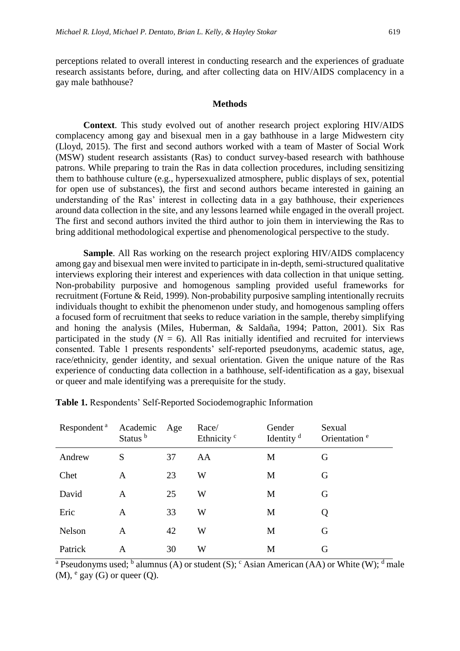perceptions related to overall interest in conducting research and the experiences of graduate research assistants before, during, and after collecting data on HIV/AIDS complacency in a gay male bathhouse?

#### **Methods**

**Context**. This study evolved out of another research project exploring HIV/AIDS complacency among gay and bisexual men in a gay bathhouse in a large Midwestern city (Lloyd, 2015). The first and second authors worked with a team of Master of Social Work (MSW) student research assistants (Ras) to conduct survey-based research with bathhouse patrons. While preparing to train the Ras in data collection procedures, including sensitizing them to bathhouse culture (e.g., hypersexualized atmosphere, public displays of sex, potential for open use of substances), the first and second authors became interested in gaining an understanding of the Ras' interest in collecting data in a gay bathhouse, their experiences around data collection in the site, and any lessons learned while engaged in the overall project. The first and second authors invited the third author to join them in interviewing the Ras to bring additional methodological expertise and phenomenological perspective to the study.

**Sample**. All Ras working on the research project exploring HIV/AIDS complacency among gay and bisexual men were invited to participate in in-depth, semi-structured qualitative interviews exploring their interest and experiences with data collection in that unique setting. Non-probability purposive and homogenous sampling provided useful frameworks for recruitment (Fortune & Reid, 1999). Non-probability purposive sampling intentionally recruits individuals thought to exhibit the phenomenon under study, and homogenous sampling offers a focused form of recruitment that seeks to reduce variation in the sample, thereby simplifying and honing the analysis (Miles, Huberman, & Saldaña, 1994; Patton, 2001). Six Ras participated in the study  $(N = 6)$ . All Ras initially identified and recruited for interviews consented. Table 1 presents respondents' self-reported pseudonyms, academic status, age, race/ethnicity, gender identity, and sexual orientation. Given the unique nature of the Ras experience of conducting data collection in a bathhouse, self-identification as a gay, bisexual or queer and male identifying was a prerequisite for the study.

| Respondent <sup>a</sup> | Academic Age<br>Status <sup>b</sup> |    | Race/<br>Ethnicity <sup>c</sup> | Gender<br>Identity $d$ | Sexual<br>Orientation <sup>e</sup> |
|-------------------------|-------------------------------------|----|---------------------------------|------------------------|------------------------------------|
| Andrew                  | S                                   | 37 | AA                              | M                      | G                                  |
| Chet                    | A                                   | 23 | W                               | M                      | G                                  |
| David                   | A                                   | 25 | W                               | M                      | G                                  |
| Eric                    | A                                   | 33 | W                               | M                      |                                    |
| Nelson                  | A                                   | 42 | W                               | M                      | G                                  |
| Patrick                 | A                                   | 30 | W                               | M                      | G                                  |

**Table 1.** Respondents' Self-Reported Sociodemographic Information

<sup>a</sup> Pseudonyms used; <sup>b</sup> alumnus (A) or student (S); <sup>c</sup> Asian American (AA) or White (W); <sup>d</sup> male  $(M)$ ,  $e$  gay  $(G)$  or queer  $(Q)$ .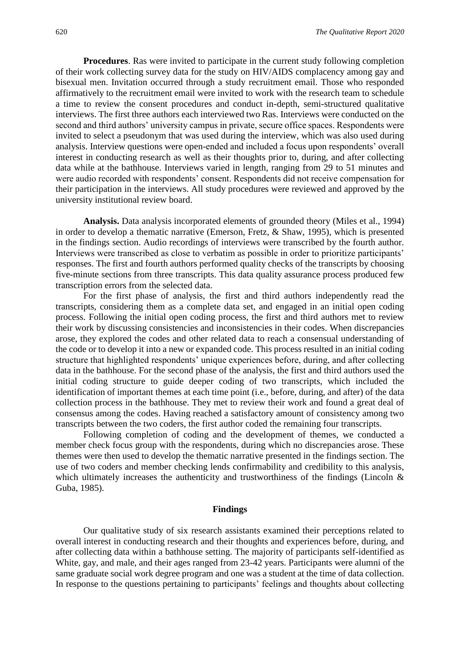**Procedures**. Ras were invited to participate in the current study following completion of their work collecting survey data for the study on HIV/AIDS complacency among gay and bisexual men. Invitation occurred through a study recruitment email. Those who responded affirmatively to the recruitment email were invited to work with the research team to schedule a time to review the consent procedures and conduct in-depth, semi-structured qualitative interviews. The first three authors each interviewed two Ras. Interviews were conducted on the second and third authors' university campus in private, secure office spaces. Respondents were invited to select a pseudonym that was used during the interview, which was also used during analysis. Interview questions were open-ended and included a focus upon respondents' overall interest in conducting research as well as their thoughts prior to, during, and after collecting data while at the bathhouse. Interviews varied in length, ranging from 29 to 51 minutes and were audio recorded with respondents' consent. Respondents did not receive compensation for their participation in the interviews. All study procedures were reviewed and approved by the university institutional review board.

**Analysis.** Data analysis incorporated elements of grounded theory (Miles et al., 1994) in order to develop a thematic narrative (Emerson, Fretz, & Shaw, 1995), which is presented in the findings section. Audio recordings of interviews were transcribed by the fourth author. Interviews were transcribed as close to verbatim as possible in order to prioritize participants' responses. The first and fourth authors performed quality checks of the transcripts by choosing five-minute sections from three transcripts. This data quality assurance process produced few transcription errors from the selected data.

For the first phase of analysis, the first and third authors independently read the transcripts, considering them as a complete data set, and engaged in an initial open coding process. Following the initial open coding process, the first and third authors met to review their work by discussing consistencies and inconsistencies in their codes. When discrepancies arose, they explored the codes and other related data to reach a consensual understanding of the code or to develop it into a new or expanded code. This process resulted in an initial coding structure that highlighted respondents' unique experiences before, during, and after collecting data in the bathhouse. For the second phase of the analysis, the first and third authors used the initial coding structure to guide deeper coding of two transcripts, which included the identification of important themes at each time point (i.e., before, during, and after) of the data collection process in the bathhouse. They met to review their work and found a great deal of consensus among the codes. Having reached a satisfactory amount of consistency among two transcripts between the two coders, the first author coded the remaining four transcripts.

Following completion of coding and the development of themes, we conducted a member check focus group with the respondents, during which no discrepancies arose. These themes were then used to develop the thematic narrative presented in the findings section. The use of two coders and member checking lends confirmability and credibility to this analysis, which ultimately increases the authenticity and trustworthiness of the findings (Lincoln  $\&$ Guba, 1985).

#### **Findings**

Our qualitative study of six research assistants examined their perceptions related to overall interest in conducting research and their thoughts and experiences before, during, and after collecting data within a bathhouse setting. The majority of participants self-identified as White, gay, and male, and their ages ranged from 23-42 years. Participants were alumni of the same graduate social work degree program and one was a student at the time of data collection. In response to the questions pertaining to participants' feelings and thoughts about collecting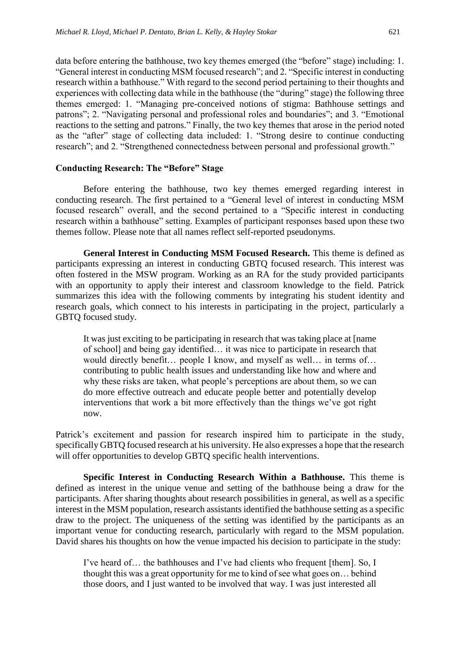data before entering the bathhouse, two key themes emerged (the "before" stage) including: 1. "General interest in conducting MSM focused research"; and 2. "Specific interest in conducting research within a bathhouse." With regard to the second period pertaining to their thoughts and experiences with collecting data while in the bathhouse (the "during" stage) the following three themes emerged: 1. "Managing pre-conceived notions of stigma: Bathhouse settings and patrons"; 2. "Navigating personal and professional roles and boundaries"; and 3. "Emotional reactions to the setting and patrons." Finally, the two key themes that arose in the period noted as the "after" stage of collecting data included: 1. "Strong desire to continue conducting research"; and 2. "Strengthened connectedness between personal and professional growth."

#### **Conducting Research: The "Before" Stage**

Before entering the bathhouse, two key themes emerged regarding interest in conducting research. The first pertained to a "General level of interest in conducting MSM focused research" overall, and the second pertained to a "Specific interest in conducting research within a bathhouse" setting. Examples of participant responses based upon these two themes follow. Please note that all names reflect self-reported pseudonyms.

**General Interest in Conducting MSM Focused Research.** This theme is defined as participants expressing an interest in conducting GBTQ focused research. This interest was often fostered in the MSW program. Working as an RA for the study provided participants with an opportunity to apply their interest and classroom knowledge to the field. Patrick summarizes this idea with the following comments by integrating his student identity and research goals, which connect to his interests in participating in the project, particularly a GBTQ focused study.

It was just exciting to be participating in research that was taking place at [name of school] and being gay identified… it was nice to participate in research that would directly benefit… people I know, and myself as well… in terms of… contributing to public health issues and understanding like how and where and why these risks are taken, what people's perceptions are about them, so we can do more effective outreach and educate people better and potentially develop interventions that work a bit more effectively than the things we've got right now.

Patrick's excitement and passion for research inspired him to participate in the study, specifically GBTQ focused research at his university. He also expresses a hope that the research will offer opportunities to develop GBTQ specific health interventions.

**Specific Interest in Conducting Research Within a Bathhouse.** This theme is defined as interest in the unique venue and setting of the bathhouse being a draw for the participants. After sharing thoughts about research possibilities in general, as well as a specific interest in the MSM population, research assistants identified the bathhouse setting as a specific draw to the project. The uniqueness of the setting was identified by the participants as an important venue for conducting research, particularly with regard to the MSM population. David shares his thoughts on how the venue impacted his decision to participate in the study:

I've heard of… the bathhouses and I've had clients who frequent [them]. So, I thought this was a great opportunity for me to kind of see what goes on… behind those doors, and I just wanted to be involved that way. I was just interested all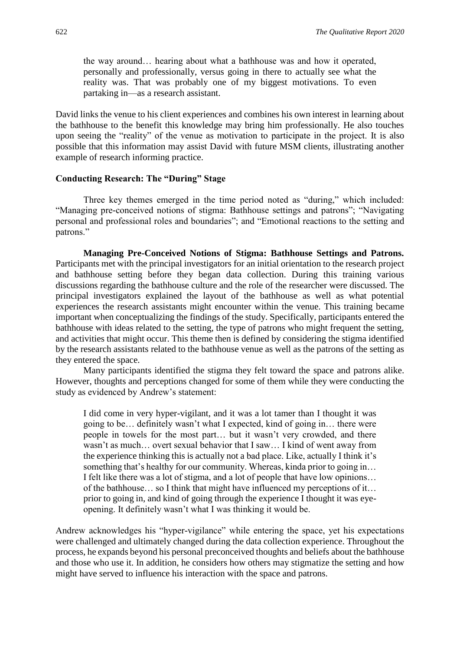the way around… hearing about what a bathhouse was and how it operated, personally and professionally, versus going in there to actually see what the reality was. That was probably one of my biggest motivations. To even partaking in—as a research assistant.

David links the venue to his client experiences and combines his own interest in learning about the bathhouse to the benefit this knowledge may bring him professionally. He also touches upon seeing the "reality" of the venue as motivation to participate in the project. It is also possible that this information may assist David with future MSM clients, illustrating another example of research informing practice.

#### **Conducting Research: The "During" Stage**

Three key themes emerged in the time period noted as "during," which included: "Managing pre-conceived notions of stigma: Bathhouse settings and patrons"; "Navigating personal and professional roles and boundaries"; and "Emotional reactions to the setting and patrons."

**Managing Pre-Conceived Notions of Stigma: Bathhouse Settings and Patrons.**  Participants met with the principal investigators for an initial orientation to the research project and bathhouse setting before they began data collection. During this training various discussions regarding the bathhouse culture and the role of the researcher were discussed. The principal investigators explained the layout of the bathhouse as well as what potential experiences the research assistants might encounter within the venue. This training became important when conceptualizing the findings of the study. Specifically, participants entered the bathhouse with ideas related to the setting, the type of patrons who might frequent the setting, and activities that might occur. This theme then is defined by considering the stigma identified by the research assistants related to the bathhouse venue as well as the patrons of the setting as they entered the space.

Many participants identified the stigma they felt toward the space and patrons alike. However, thoughts and perceptions changed for some of them while they were conducting the study as evidenced by Andrew's statement:

I did come in very hyper-vigilant, and it was a lot tamer than I thought it was going to be… definitely wasn't what I expected, kind of going in… there were people in towels for the most part… but it wasn't very crowded, and there wasn't as much… overt sexual behavior that I saw… I kind of went away from the experience thinking this is actually not a bad place. Like, actually I think it's something that's healthy for our community. Whereas, kinda prior to going in... I felt like there was a lot of stigma, and a lot of people that have low opinions… of the bathhouse… so I think that might have influenced my perceptions of it… prior to going in, and kind of going through the experience I thought it was eyeopening. It definitely wasn't what I was thinking it would be.

Andrew acknowledges his "hyper-vigilance" while entering the space, yet his expectations were challenged and ultimately changed during the data collection experience. Throughout the process, he expands beyond his personal preconceived thoughts and beliefs about the bathhouse and those who use it. In addition, he considers how others may stigmatize the setting and how might have served to influence his interaction with the space and patrons.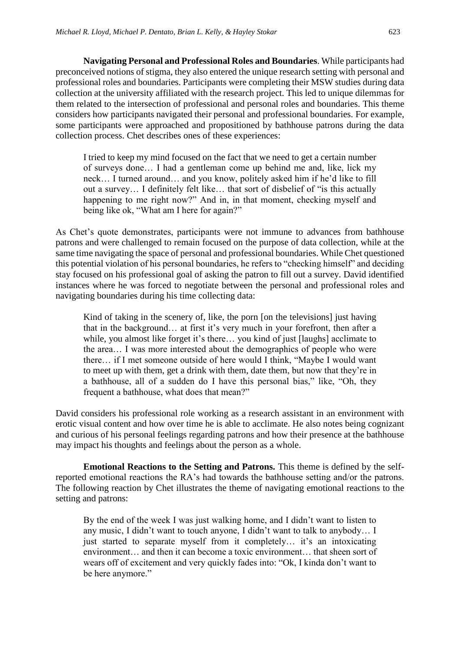**Navigating Personal and Professional Roles and Boundaries**. While participants had preconceived notions of stigma, they also entered the unique research setting with personal and professional roles and boundaries. Participants were completing their MSW studies during data collection at the university affiliated with the research project. This led to unique dilemmas for them related to the intersection of professional and personal roles and boundaries. This theme considers how participants navigated their personal and professional boundaries. For example, some participants were approached and propositioned by bathhouse patrons during the data collection process. Chet describes ones of these experiences:

I tried to keep my mind focused on the fact that we need to get a certain number of surveys done… I had a gentleman come up behind me and, like, lick my neck… I turned around… and you know, politely asked him if he'd like to fill out a survey… I definitely felt like… that sort of disbelief of "is this actually happening to me right now?" And in, in that moment, checking myself and being like ok, "What am I here for again?"

As Chet's quote demonstrates, participants were not immune to advances from bathhouse patrons and were challenged to remain focused on the purpose of data collection, while at the same time navigating the space of personal and professional boundaries. While Chet questioned this potential violation of his personal boundaries, he refers to "checking himself" and deciding stay focused on his professional goal of asking the patron to fill out a survey. David identified instances where he was forced to negotiate between the personal and professional roles and navigating boundaries during his time collecting data:

Kind of taking in the scenery of, like, the porn [on the televisions] just having that in the background… at first it's very much in your forefront, then after a while, you almost like forget it's there… you kind of just [laughs] acclimate to the area… I was more interested about the demographics of people who were there… if I met someone outside of here would I think, "Maybe I would want to meet up with them, get a drink with them, date them, but now that they're in a bathhouse, all of a sudden do I have this personal bias," like, "Oh, they frequent a bathhouse, what does that mean?"

David considers his professional role working as a research assistant in an environment with erotic visual content and how over time he is able to acclimate. He also notes being cognizant and curious of his personal feelings regarding patrons and how their presence at the bathhouse may impact his thoughts and feelings about the person as a whole.

**Emotional Reactions to the Setting and Patrons.** This theme is defined by the selfreported emotional reactions the RA's had towards the bathhouse setting and/or the patrons. The following reaction by Chet illustrates the theme of navigating emotional reactions to the setting and patrons:

By the end of the week I was just walking home, and I didn't want to listen to any music, I didn't want to touch anyone, I didn't want to talk to anybody… I just started to separate myself from it completely… it's an intoxicating environment… and then it can become a toxic environment… that sheen sort of wears off of excitement and very quickly fades into: "Ok, I kinda don't want to be here anymore."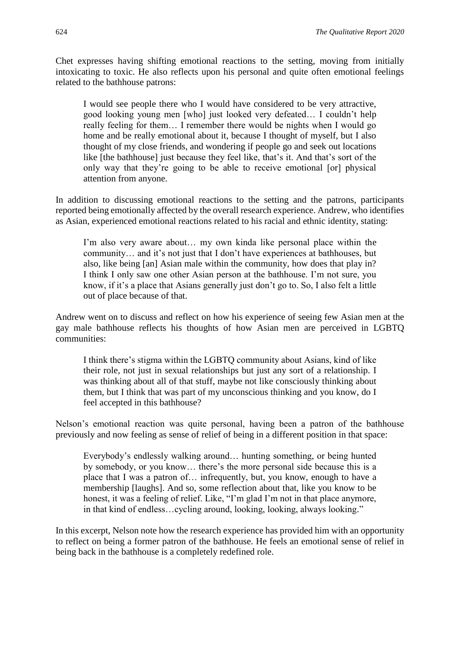Chet expresses having shifting emotional reactions to the setting, moving from initially intoxicating to toxic. He also reflects upon his personal and quite often emotional feelings related to the bathhouse patrons:

I would see people there who I would have considered to be very attractive, good looking young men [who] just looked very defeated… I couldn't help really feeling for them… I remember there would be nights when I would go home and be really emotional about it, because I thought of myself, but I also thought of my close friends, and wondering if people go and seek out locations like [the bathhouse] just because they feel like, that's it. And that's sort of the only way that they're going to be able to receive emotional [or] physical attention from anyone.

In addition to discussing emotional reactions to the setting and the patrons, participants reported being emotionally affected by the overall research experience. Andrew, who identifies as Asian, experienced emotional reactions related to his racial and ethnic identity, stating:

I'm also very aware about… my own kinda like personal place within the community… and it's not just that I don't have experiences at bathhouses, but also, like being [an] Asian male within the community, how does that play in? I think I only saw one other Asian person at the bathhouse. I'm not sure, you know, if it's a place that Asians generally just don't go to. So, I also felt a little out of place because of that.

Andrew went on to discuss and reflect on how his experience of seeing few Asian men at the gay male bathhouse reflects his thoughts of how Asian men are perceived in LGBTQ communities:

I think there's stigma within the LGBTQ community about Asians, kind of like their role, not just in sexual relationships but just any sort of a relationship. I was thinking about all of that stuff, maybe not like consciously thinking about them, but I think that was part of my unconscious thinking and you know, do I feel accepted in this bathhouse?

Nelson's emotional reaction was quite personal, having been a patron of the bathhouse previously and now feeling as sense of relief of being in a different position in that space:

Everybody's endlessly walking around… hunting something, or being hunted by somebody, or you know… there's the more personal side because this is a place that I was a patron of… infrequently, but, you know, enough to have a membership [laughs]. And so, some reflection about that, like you know to be honest, it was a feeling of relief. Like, "I'm glad I'm not in that place anymore, in that kind of endless…cycling around, looking, looking, always looking."

In this excerpt, Nelson note how the research experience has provided him with an opportunity to reflect on being a former patron of the bathhouse. He feels an emotional sense of relief in being back in the bathhouse is a completely redefined role.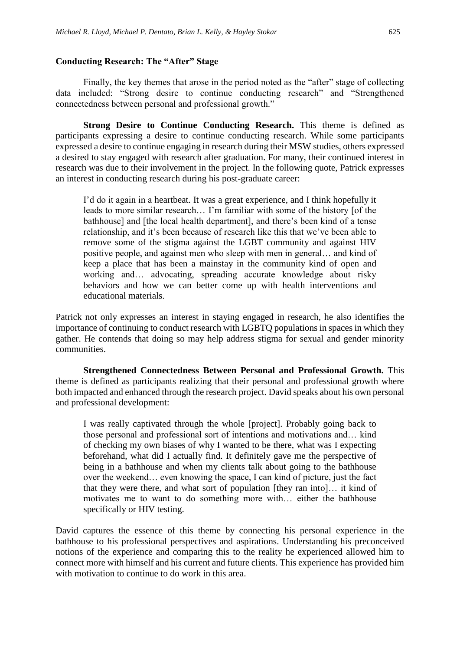#### **Conducting Research: The "After" Stage**

Finally, the key themes that arose in the period noted as the "after" stage of collecting data included: "Strong desire to continue conducting research" and "Strengthened connectedness between personal and professional growth."

**Strong Desire to Continue Conducting Research.** This theme is defined as participants expressing a desire to continue conducting research. While some participants expressed a desire to continue engaging in research during their MSW studies, others expressed a desired to stay engaged with research after graduation. For many, their continued interest in research was due to their involvement in the project. In the following quote, Patrick expresses an interest in conducting research during his post-graduate career:

I'd do it again in a heartbeat. It was a great experience, and I think hopefully it leads to more similar research… I'm familiar with some of the history [of the bathhouse] and [the local health department], and there's been kind of a tense relationship, and it's been because of research like this that we've been able to remove some of the stigma against the LGBT community and against HIV positive people, and against men who sleep with men in general… and kind of keep a place that has been a mainstay in the community kind of open and working and… advocating, spreading accurate knowledge about risky behaviors and how we can better come up with health interventions and educational materials.

Patrick not only expresses an interest in staying engaged in research, he also identifies the importance of continuing to conduct research with LGBTQ populations in spaces in which they gather. He contends that doing so may help address stigma for sexual and gender minority communities.

**Strengthened Connectedness Between Personal and Professional Growth.** This theme is defined as participants realizing that their personal and professional growth where both impacted and enhanced through the research project. David speaks about his own personal and professional development:

I was really captivated through the whole [project]. Probably going back to those personal and professional sort of intentions and motivations and… kind of checking my own biases of why I wanted to be there, what was I expecting beforehand, what did I actually find. It definitely gave me the perspective of being in a bathhouse and when my clients talk about going to the bathhouse over the weekend… even knowing the space, I can kind of picture, just the fact that they were there, and what sort of population [they ran into]… it kind of motivates me to want to do something more with… either the bathhouse specifically or HIV testing.

David captures the essence of this theme by connecting his personal experience in the bathhouse to his professional perspectives and aspirations. Understanding his preconceived notions of the experience and comparing this to the reality he experienced allowed him to connect more with himself and his current and future clients. This experience has provided him with motivation to continue to do work in this area.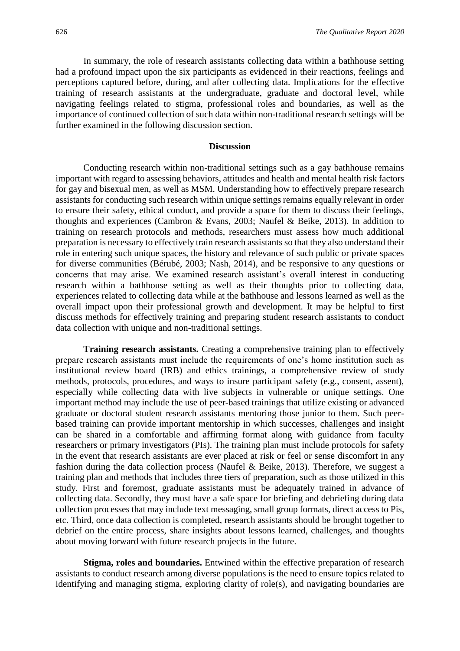In summary, the role of research assistants collecting data within a bathhouse setting had a profound impact upon the six participants as evidenced in their reactions, feelings and perceptions captured before, during, and after collecting data. Implications for the effective training of research assistants at the undergraduate, graduate and doctoral level, while navigating feelings related to stigma, professional roles and boundaries, as well as the importance of continued collection of such data within non-traditional research settings will be further examined in the following discussion section.

#### **Discussion**

Conducting research within non-traditional settings such as a gay bathhouse remains important with regard to assessing behaviors, attitudes and health and mental health risk factors for gay and bisexual men, as well as MSM. Understanding how to effectively prepare research assistants for conducting such research within unique settings remains equally relevant in order to ensure their safety, ethical conduct, and provide a space for them to discuss their feelings, thoughts and experiences (Cambron & Evans, 2003; Naufel & Beike, 2013). In addition to training on research protocols and methods, researchers must assess how much additional preparation is necessary to effectively train research assistants so that they also understand their role in entering such unique spaces, the history and relevance of such public or private spaces for diverse communities (Bérubé, 2003; Nash, 2014), and be responsive to any questions or concerns that may arise. We examined research assistant's overall interest in conducting research within a bathhouse setting as well as their thoughts prior to collecting data, experiences related to collecting data while at the bathhouse and lessons learned as well as the overall impact upon their professional growth and development. It may be helpful to first discuss methods for effectively training and preparing student research assistants to conduct data collection with unique and non-traditional settings.

**Training research assistants.** Creating a comprehensive training plan to effectively prepare research assistants must include the requirements of one's home institution such as institutional review board (IRB) and ethics trainings, a comprehensive review of study methods, protocols, procedures, and ways to insure participant safety (e.g., consent, assent), especially while collecting data with live subjects in vulnerable or unique settings. One important method may include the use of peer-based trainings that utilize existing or advanced graduate or doctoral student research assistants mentoring those junior to them. Such peerbased training can provide important mentorship in which successes, challenges and insight can be shared in a comfortable and affirming format along with guidance from faculty researchers or primary investigators (PIs). The training plan must include protocols for safety in the event that research assistants are ever placed at risk or feel or sense discomfort in any fashion during the data collection process (Naufel & Beike, 2013). Therefore, we suggest a training plan and methods that includes three tiers of preparation, such as those utilized in this study. First and foremost, graduate assistants must be adequately trained in advance of collecting data. Secondly, they must have a safe space for briefing and debriefing during data collection processes that may include text messaging, small group formats, direct access to Pis, etc. Third, once data collection is completed, research assistants should be brought together to debrief on the entire process, share insights about lessons learned, challenges, and thoughts about moving forward with future research projects in the future.

**Stigma, roles and boundaries.** Entwined within the effective preparation of research assistants to conduct research among diverse populations is the need to ensure topics related to identifying and managing stigma, exploring clarity of role(s), and navigating boundaries are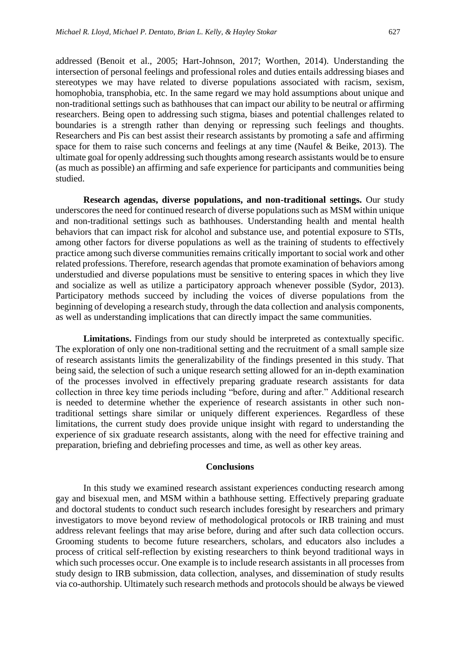addressed (Benoit et al., 2005; Hart-Johnson, 2017; Worthen, 2014). Understanding the intersection of personal feelings and professional roles and duties entails addressing biases and stereotypes we may have related to diverse populations associated with racism, sexism, homophobia, transphobia, etc. In the same regard we may hold assumptions about unique and non-traditional settings such as bathhouses that can impact our ability to be neutral or affirming researchers. Being open to addressing such stigma, biases and potential challenges related to boundaries is a strength rather than denying or repressing such feelings and thoughts. Researchers and Pis can best assist their research assistants by promoting a safe and affirming space for them to raise such concerns and feelings at any time (Naufel & Beike, 2013). The ultimate goal for openly addressing such thoughts among research assistants would be to ensure (as much as possible) an affirming and safe experience for participants and communities being studied.

**Research agendas, diverse populations, and non-traditional settings.** Our study underscores the need for continued research of diverse populations such as MSM within unique and non-traditional settings such as bathhouses. Understanding health and mental health behaviors that can impact risk for alcohol and substance use, and potential exposure to STIs, among other factors for diverse populations as well as the training of students to effectively practice among such diverse communities remains critically important to social work and other related professions. Therefore, research agendas that promote examination of behaviors among understudied and diverse populations must be sensitive to entering spaces in which they live and socialize as well as utilize a participatory approach whenever possible (Sydor, 2013). Participatory methods succeed by including the voices of diverse populations from the beginning of developing a research study, through the data collection and analysis components, as well as understanding implications that can directly impact the same communities.

**Limitations.** Findings from our study should be interpreted as contextually specific. The exploration of only one non-traditional setting and the recruitment of a small sample size of research assistants limits the generalizability of the findings presented in this study. That being said, the selection of such a unique research setting allowed for an in-depth examination of the processes involved in effectively preparing graduate research assistants for data collection in three key time periods including "before, during and after." Additional research is needed to determine whether the experience of research assistants in other such nontraditional settings share similar or uniquely different experiences. Regardless of these limitations, the current study does provide unique insight with regard to understanding the experience of six graduate research assistants, along with the need for effective training and preparation, briefing and debriefing processes and time, as well as other key areas.

#### **Conclusions**

In this study we examined research assistant experiences conducting research among gay and bisexual men, and MSM within a bathhouse setting. Effectively preparing graduate and doctoral students to conduct such research includes foresight by researchers and primary investigators to move beyond review of methodological protocols or IRB training and must address relevant feelings that may arise before, during and after such data collection occurs. Grooming students to become future researchers, scholars, and educators also includes a process of critical self-reflection by existing researchers to think beyond traditional ways in which such processes occur. One example is to include research assistants in all processes from study design to IRB submission, data collection, analyses, and dissemination of study results via co-authorship. Ultimately such research methods and protocols should be always be viewed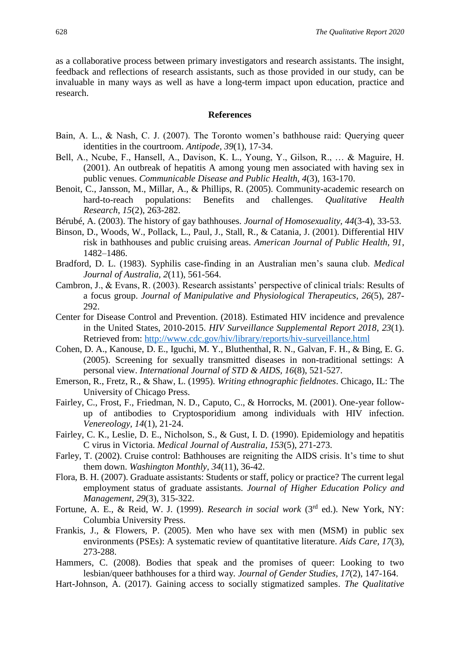as a collaborative process between primary investigators and research assistants. The insight, feedback and reflections of research assistants, such as those provided in our study, can be invaluable in many ways as well as have a long-term impact upon education, practice and research.

#### **References**

- Bain, A. L., & Nash, C. J. (2007). The Toronto women's bathhouse raid: Querying queer identities in the courtroom. *Antipode, 39*(1), 17-34.
- Bell, A., Ncube, F., Hansell, A., Davison, K. L., Young, Y., Gilson, R., … & Maguire, H. (2001). An outbreak of hepatitis A among young men associated with having sex in public venues. *Communicable Disease and Public Health*, *4*(3), 163-170.
- Benoit, C., Jansson, M., Millar, A., & Phillips, R. (2005). Community-academic research on hard-to-reach populations: Benefits and challenges. *Qualitative Health Research*, *15*(2), 263-282.
- Bérubé, A. (2003). The history of gay bathhouses. *Journal of Homosexuality, 44*(3-4), 33-53.
- Binson, D., Woods, W., Pollack, L., Paul, J., Stall, R., & Catania, J. (2001). Differential HIV risk in bathhouses and public cruising areas. *American Journal of Public Health, 91*, 1482–1486.
- Bradford, D. L. (1983). Syphilis case-finding in an Australian men's sauna club. *Medical Journal of Australia, 2*(11), 561-564.
- Cambron, J., & Evans, R. (2003). Research assistants' perspective of clinical trials: Results of a focus group. *Journal of Manipulative and Physiological Therapeutics*, *26*(5), 287- 292.
- Center for Disease Control and Prevention. (2018). Estimated HIV incidence and prevalence in the United States, 2010-2015. *HIV Surveillance Supplemental Report 2018*, *23*(1). Retrieved from:<http://www.cdc.gov/hiv/library/reports/hiv-surveillance.html>
- Cohen, D. A., Kanouse, D. E., Iguchi, M. Y., Bluthenthal, R. N., Galvan, F. H., & Bing, E. G. (2005). Screening for sexually transmitted diseases in non-traditional settings: A personal view. *International Journal of STD & AIDS, 16*(8), 521-527.
- Emerson, R., Fretz, R., & Shaw, L. (1995). *Writing ethnographic fieldnotes*. Chicago, IL: The University of Chicago Press.
- Fairley, C., Frost, F., Friedman, N. D., Caputo, C., & Horrocks, M. (2001). One-year followup of antibodies to Cryptosporidium among individuals with HIV infection. *Venereology, 14*(1), 21-24.
- Fairley, C. K., Leslie, D. E., Nicholson, S., & Gust, I. D. (1990). Epidemiology and hepatitis C virus in Victoria. *Medical Journal of Australia, 153*(5), 271-273.
- Farley, T. (2002). Cruise control: Bathhouses are reigniting the AIDS crisis. It's time to shut them down. *Washington Monthly, 34*(11), 36-42.
- Flora, B. H. (2007). Graduate assistants: Students or staff, policy or practice? The current legal employment status of graduate assistants. *Journal of Higher Education Policy and Management*, *29*(3), 315-322.
- Fortune, A. E., & Reid, W. J. (1999). *Research in social work* (3rd ed.). New York, NY: Columbia University Press.
- Frankis, J., & Flowers, P. (2005). Men who have sex with men (MSM) in public sex environments (PSEs): A systematic review of quantitative literature. *Aids Care, 17*(3), 273-288.
- Hammers, C. (2008). Bodies that speak and the promises of queer: Looking to two lesbian/queer bathhouses for a third way*. Journal of Gender Studies, 17*(2), 147-164.
- Hart-Johnson, A. (2017). Gaining access to socially stigmatized samples. *The Qualitative*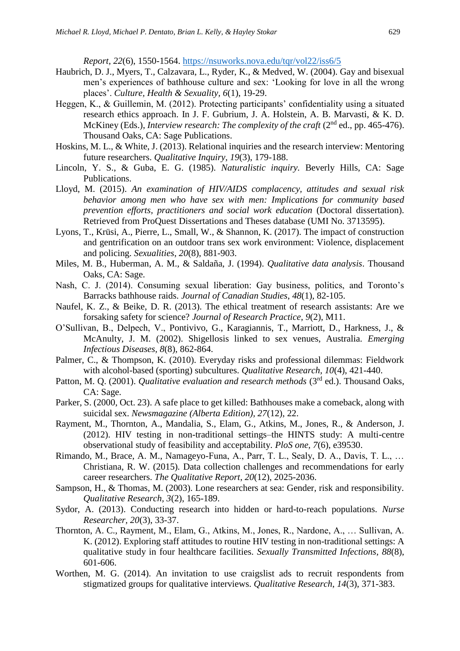*Report, 22*(6), 1550-1564. <https://nsuworks.nova.edu/tqr/vol22/iss6/5>

- Haubrich, D. J., Myers, T., Calzavara, L., Ryder, K., & Medved, W. (2004). Gay and bisexual men's experiences of bathhouse culture and sex: 'Looking for love in all the wrong places'. *Culture, Health & Sexuality, 6*(1), 19-29.
- Heggen, K., & Guillemin, M. (2012). Protecting participants' confidentiality using a situated research ethics approach. In J. F. Gubrium, J. A. Holstein, A. B. Marvasti, & K. D. McKiney (Eds.), *Interview research: The complexity of the craft* (2<sup>nd</sup> ed., pp. 465-476). Thousand Oaks, CA: Sage Publications.
- Hoskins, M. L., & White, J. (2013). Relational inquiries and the research interview: Mentoring future researchers. *Qualitative Inquiry, 19*(3), 179-188.
- Lincoln, Y. S., & Guba, E. G. (1985). *Naturalistic inquiry.* Beverly Hills, CA: Sage Publications.
- Lloyd, M. (2015). *An examination of HIV/AIDS complacency, attitudes and sexual risk behavior among men who have sex with men: Implications for community based prevention efforts, practitioners and social work education* (Doctoral dissertation). Retrieved from ProQuest Dissertations and Theses database (UMI No. 3713595).
- Lyons, T., Krüsi, A., Pierre, L., Small, W., & Shannon, K. (2017). The impact of construction and gentrification on an outdoor trans sex work environment: Violence, displacement and policing. *Sexualities*, *20*(8), 881-903.
- Miles, M. B., Huberman, A. M., & Saldaña, J. (1994). *Qualitative data analysis*. Thousand Oaks, CA: Sage.
- Nash, C. J. (2014). Consuming sexual liberation: Gay business, politics, and Toronto's Barracks bathhouse raids. *Journal of Canadian Studies*, *48*(1), 82-105.
- Naufel, K. Z., & Beike, D. R. (2013). The ethical treatment of research assistants: Are we forsaking safety for science? *Journal of Research Practice*, *9*(2), M11.
- O'Sullivan, B., Delpech, V., Pontivivo, G., Karagiannis, T., Marriott, D., Harkness, J., & McAnulty, J. M. (2002). Shigellosis linked to sex venues, Australia. *Emerging Infectious Diseases, 8*(8), 862-864.
- Palmer, C., & Thompson, K. (2010). Everyday risks and professional dilemmas: Fieldwork with alcohol-based (sporting) subcultures. *Qualitative Research, 10*(4), 421-440.
- Patton, M. Q. (2001). *Qualitative evaluation and research methods* (3<sup>rd</sup> ed.). Thousand Oaks, CA: Sage.
- Parker, S. (2000, Oct. 23). A safe place to get killed: Bathhouses make a comeback, along with suicidal sex. *Newsmagazine (Alberta Edition), 27*(12), 22.
- Rayment, M., Thornton, A., Mandalia, S., Elam, G., Atkins, M., Jones, R., & Anderson, J. (2012). HIV testing in non-traditional settings–the HINTS study: A multi-centre observational study of feasibility and acceptability. *PloS one, 7*(6), e39530.
- Rimando, M., Brace, A. M., Namageyo-Funa, A., Parr, T. L., Sealy, D. A., Davis, T. L., … Christiana, R. W. (2015). Data collection challenges and recommendations for early career researchers. *The Qualitative Report*, *20*(12), 2025-2036.
- Sampson, H., & Thomas, M. (2003). Lone researchers at sea: Gender, risk and responsibility. *Qualitative Research, 3*(2), 165-189.
- Sydor, A. (2013). Conducting research into hidden or hard-to-reach populations. *Nurse Researcher, 20*(3), 33-37.
- Thornton, A. C., Rayment, M., Elam, G., Atkins, M., Jones, R., Nardone, A., … Sullivan, A. K. (2012). Exploring staff attitudes to routine HIV testing in non-traditional settings: A qualitative study in four healthcare facilities. *Sexually Transmitted Infections, 88*(8), 601-606.
- Worthen, M. G. (2014). An invitation to use craigslist ads to recruit respondents from stigmatized groups for qualitative interviews. *Qualitative Research*, *14*(3), 371-383.